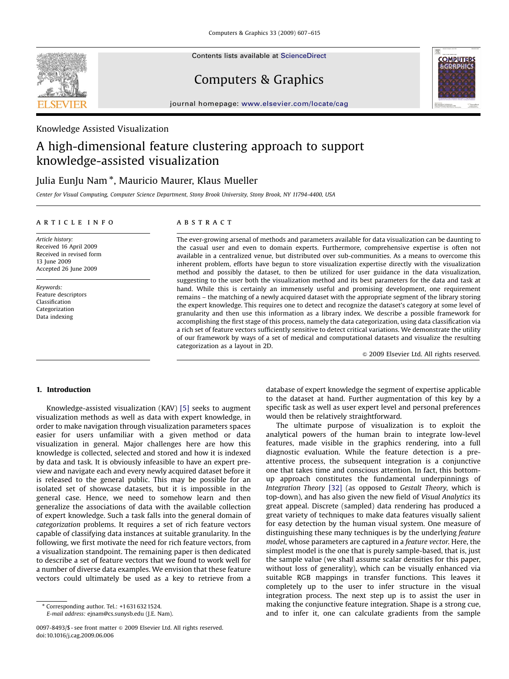

Contents lists available at ScienceDirect

# Computers & Graphics



journal homepage: <www.elsevier.com/locate/cag>

## Knowledge Assisted Visualization

# A high-dimensional feature clustering approach to support knowledge-assisted visualization

# Julia EunJu Nam \*, Mauricio Maurer, Klaus Mueller

Center for Visual Computing, Computer Science Department, Stony Brook University, Stony Brook, NY 11794-4400, USA

### article info

Article history: Received 16 April 2009 Received in revised form 13 June 2009 Accepted 26 June 2009

Keywords: Feature descriptors Classification Categorization Data indexing

## ABSTRACT

The ever-growing arsenal of methods and parameters available for data visualization can be daunting to the casual user and even to domain experts. Furthermore, comprehensive expertise is often not available in a centralized venue, but distributed over sub-communities. As a means to overcome this inherent problem, efforts have begun to store visualization expertise directly with the visualization method and possibly the dataset, to then be utilized for user guidance in the data visualization, suggesting to the user both the visualization method and its best parameters for the data and task at hand. While this is certainly an immensely useful and promising development, one requirement remains – the matching of a newly acquired dataset with the appropriate segment of the library storing the expert knowledge. This requires one to detect and recognize the dataset's category at some level of granularity and then use this information as a library index. We describe a possible framework for accomplishing the first stage of this process, namely the data categorization, using data classification via a rich set of feature vectors sufficiently sensitive to detect critical variations. We demonstrate the utility of our framework by ways of a set of medical and computational datasets and visualize the resulting categorization as a layout in 2D.

 $©$  2009 Elsevier Ltd. All rights reserved.

## 1. Introduction

Knowledge-assisted visualization (KAV) [\[5\]](#page-8-0) seeks to augment visualization methods as well as data with expert knowledge, in order to make navigation through visualization parameters spaces easier for users unfamiliar with a given method or data visualization in general. Major challenges here are how this knowledge is collected, selected and stored and how it is indexed by data and task. It is obviously infeasible to have an expert preview and navigate each and every newly acquired dataset before it is released to the general public. This may be possible for an isolated set of showcase datasets, but it is impossible in the general case. Hence, we need to somehow learn and then generalize the associations of data with the available collection of expert knowledge. Such a task falls into the general domain of categorization problems. It requires a set of rich feature vectors capable of classifying data instances at suitable granularity. In the following, we first motivate the need for rich feature vectors, from a visualization standpoint. The remaining paper is then dedicated to describe a set of feature vectors that we found to work well for a number of diverse data examples. We envision that these feature vectors could ultimately be used as a key to retrieve from a

E-mail address: [ejnam@cs.sunysb.edu \(J.E. Nam\)](mailto:ejnam@cs.sunysb.edu).

database of expert knowledge the segment of expertise applicable to the dataset at hand. Further augmentation of this key by a specific task as well as user expert level and personal preferences would then be relatively straightforward.

The ultimate purpose of visualization is to exploit the analytical powers of the human brain to integrate low-level features, made visible in the graphics rendering, into a full diagnostic evaluation. While the feature detection is a preattentive process, the subsequent integration is a conjunctive one that takes time and conscious attention. In fact, this bottomup approach constitutes the fundamental underpinnings of Integration Theory [\[32\]](#page-8-0) (as opposed to Gestalt Theory, which is top-down), and has also given the new field of Visual Analytics its great appeal. Discrete (sampled) data rendering has produced a great variety of techniques to make data features visually salient for easy detection by the human visual system. One measure of distinguishing these many techniques is by the underlying feature model, whose parameters are captured in a feature vector. Here, the simplest model is the one that is purely sample-based, that is, just the sample value (we shall assume scalar densities for this paper, without loss of generality), which can be visually enhanced via suitable RGB mappings in transfer functions. This leaves it completely up to the user to infer structure in the visual integration process. The next step up is to assist the user in making the conjunctive feature integration. Shape is a strong cue, and to infer it, one can calculate gradients from the sample

<sup>-</sup> Corresponding author. Tel.: +1631632 1524.

<sup>0097-8493/\$ -</sup> see front matter @ 2009 Elsevier Ltd. All rights reserved. doi:[10.1016/j.cag.2009.06.006](dx.doi.org/10.1016/j.cag.2009.06.006)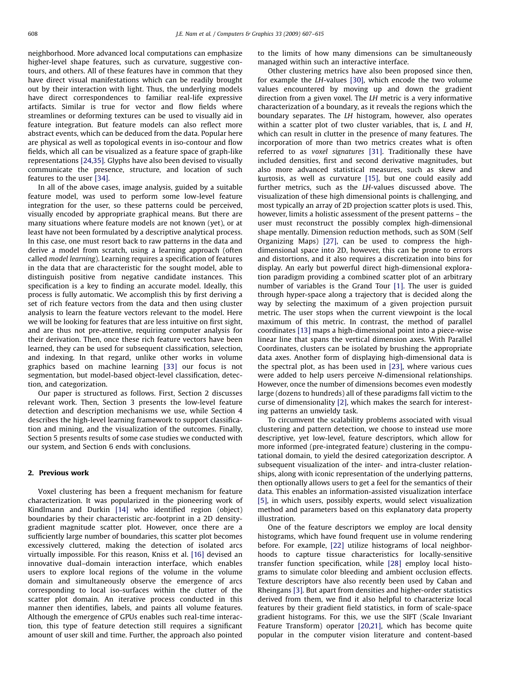neighborhood. More advanced local computations can emphasize higher-level shape features, such as curvature, suggestive contours, and others. All of these features have in common that they have direct visual manifestations which can be readily brought out by their interaction with light. Thus, the underlying models have direct correspondences to familiar real-life expressive artifacts. Similar is true for vector and flow fields where streamlines or deforming textures can be used to visually aid in feature integration. But feature models can also reflect more abstract events, which can be deduced from the data. Popular here are physical as well as topological events in iso-contour and flow fields, which all can be visualized as a feature space of graph-like representations [\[24,35\].](#page-8-0) Glyphs have also been devised to visually communicate the presence, structure, and location of such features to the user [\[34\].](#page-8-0)

In all of the above cases, image analysis, guided by a suitable feature model, was used to perform some low-level feature integration for the user, so these patterns could be perceived, visually encoded by appropriate graphical means. But there are many situations where feature models are not known (yet), or at least have not been formulated by a descriptive analytical process. In this case, one must resort back to raw patterns in the data and derive a model from scratch, using a learning approach (often called model learning). Learning requires a specification of features in the data that are characteristic for the sought model, able to distinguish positive from negative candidate instances. This specification is a key to finding an accurate model. Ideally, this process is fully automatic. We accomplish this by first deriving a set of rich feature vectors from the data and then using cluster analysis to learn the feature vectors relevant to the model. Here we will be looking for features that are less intuitive on first sight, and are thus not pre-attentive, requiring computer analysis for their derivation. Then, once these rich feature vectors have been learned, they can be used for subsequent classification, selection, and indexing. In that regard, unlike other works in volume graphics based on machine learning [\[33\]](#page-8-0) our focus is not segmentation, but model-based object-level classification, detection, and categorization.

Our paper is structured as follows. First, Section 2 discusses relevant work. Then, Section 3 presents the low-level feature detection and description mechanisms we use, while Section 4 describes the high-level learning framework to support classification and mining, and the visualization of the outcomes. Finally, Section 5 presents results of some case studies we conducted with our system, and Section 6 ends with conclusions.

#### 2. Previous work

Voxel clustering has been a frequent mechanism for feature characterization. It was popularized in the pioneering work of Kindlmann and Durkin [\[14\]](#page-8-0) who identified region (object) boundaries by their characteristic arc-footprint in a 2D densitygradient magnitude scatter plot. However, once there are a sufficiently large number of boundaries, this scatter plot becomes excessively cluttered, making the detection of isolated arcs virtually impossible. For this reason, Kniss et al. [\[16\]](#page-8-0) devised an innovative dual–domain interaction interface, which enables users to explore local regions of the volume in the volume domain and simultaneously observe the emergence of arcs corresponding to local iso-surfaces within the clutter of the scatter plot domain. An iterative process conducted in this manner then identifies, labels, and paints all volume features. Although the emergence of GPUs enables such real-time interaction, this type of feature detection still requires a significant amount of user skill and time. Further, the approach also pointed to the limits of how many dimensions can be simultaneously managed within such an interactive interface.

Other clustering metrics have also been proposed since then, for example the LH-values [\[30\]](#page-8-0), which encode the two volume values encountered by moving up and down the gradient direction from a given voxel. The LH metric is a very informative characterization of a boundary, as it reveals the regions which the boundary separates. The LH histogram, however, also operates within a scatter plot of two cluster variables, that is,  $L$  and  $H$ , which can result in clutter in the presence of many features. The incorporation of more than two metrics creates what is often referred to as voxel signatures [\[31\]](#page-8-0). Traditionally these have included densities, first and second derivative magnitudes, but also more advanced statistical measures, such as skew and kurtosis, as well as curvature [\[15\],](#page-8-0) but one could easily add further metrics, such as the LH-values discussed above. The visualization of these high dimensional points is challenging, and most typically an array of 2D projection scatter plots is used. This, however, limits a holistic assessment of the present patterns – the user must reconstruct the possibly complex high-dimensional shape mentally. Dimension reduction methods, such as SOM (Self Organizing Maps) [\[27\]](#page-8-0), can be used to compress the highdimensional space into 2D, however, this can be prone to errors and distortions, and it also requires a discretization into bins for display. An early but powerful direct high-dimensional exploration paradigm providing a combined scatter plot of an arbitrary number of variables is the Grand Tour [\[1\].](#page-7-0) The user is guided through hyper-space along a trajectory that is decided along the way by selecting the maximum of a given projection pursuit metric. The user stops when the current viewpoint is the local maximum of this metric. In contrast, the method of parallel coordinates [\[13\]](#page-8-0) maps a high-dimensional point into a piece-wise linear line that spans the vertical dimension axes. With Parallel Coordinates, clusters can be isolated by brushing the appropriate data axes. Another form of displaying high-dimensional data is the spectral plot, as has been used in [\[23\]](#page-8-0), where various cues were added to help users perceive N-dimensional relationships. However, once the number of dimensions becomes even modestly large (dozens to hundreds) all of these paradigms fall victim to the curse of dimensionality [\[2\],](#page-7-0) which makes the search for interesting patterns an unwieldy task.

To circumvent the scalability problems associated with visual clustering and pattern detection, we choose to instead use more descriptive, yet low-level, feature descriptors, which allow for more informed (pre-integrated feature) clustering in the computational domain, to yield the desired categorization descriptor. A subsequent visualization of the inter- and intra-cluster relationships, along with iconic representation of the underlying patterns, then optionally allows users to get a feel for the semantics of their data. This enables an information-assisted visualization interface [\[5\],](#page-8-0) in which users, possibly experts, would select visualization method and parameters based on this explanatory data property illustration.

One of the feature descriptors we employ are local density histograms, which have found frequent use in volume rendering before. For example, [\[22\]](#page-8-0) utilize histograms of local neighborhoods to capture tissue characteristics for locally-sensitive transfer function specification, while [\[28\]](#page-8-0) employ local histograms to simulate color bleeding and ambient occlusion effects. Texture descriptors have also recently been used by Caban and Rheingans [\[3\]](#page-7-0). But apart from densities and higher-order statistics derived from them, we find it also helpful to characterize local features by their gradient field statistics, in form of scale-space gradient histograms. For this, we use the SIFT (Scale Invariant Feature Transform) operator [\[20,21\]](#page-8-0), which has become quite popular in the computer vision literature and content-based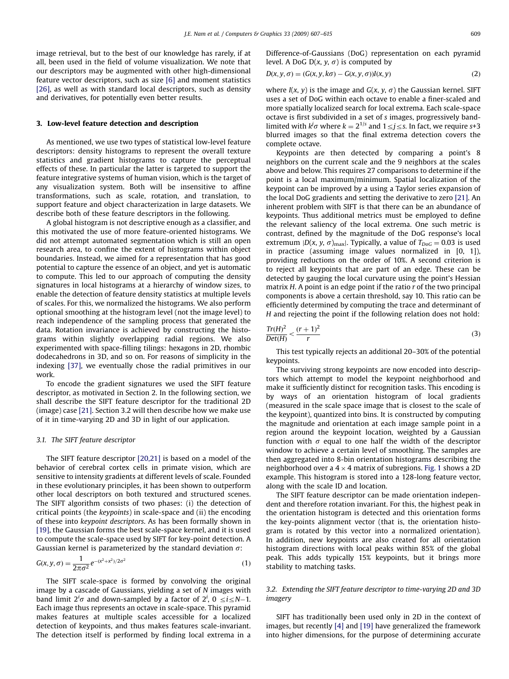image retrieval, but to the best of our knowledge has rarely, if at all, been used in the field of volume visualization. We note that our descriptors may be augmented with other high-dimensional feature vector descriptors, such as size [\[6\]](#page-8-0) and moment statistics [\[26\]](#page-8-0), as well as with standard local descriptors, such as density and derivatives, for potentially even better results.

## 3. Low-level feature detection and description

As mentioned, we use two types of statistical low-level feature descriptors: density histograms to represent the overall texture statistics and gradient histograms to capture the perceptual effects of these. In particular the latter is targeted to support the feature integrative systems of human vision, which is the target of any visualization system. Both will be insensitive to affine transformations, such as scale, rotation, and translation, to support feature and object characterization in large datasets. We describe both of these feature descriptors in the following.

A global histogram is not descriptive enough as a classifier, and this motivated the use of more feature-oriented histograms. We did not attempt automated segmentation which is still an open research area, to confine the extent of histograms within object boundaries. Instead, we aimed for a representation that has good potential to capture the essence of an object, and yet is automatic to compute. This led to our approach of computing the density signatures in local histograms at a hierarchy of window sizes, to enable the detection of feature density statistics at multiple levels of scales. For this, we normalized the histograms. We also perform optional smoothing at the histogram level (not the image level) to reach independence of the sampling process that generated the data. Rotation invariance is achieved by constructing the histograms within slightly overlapping radial regions. We also experimented with space-filling tilings: hexagons in 2D, rhombic dodecahedrons in 3D, and so on. For reasons of simplicity in the indexing [\[37\],](#page-8-0) we eventually chose the radial primitives in our work.

To encode the gradient signatures we used the SIFT feature descriptor, as motivated in Section 2. In the following section, we shall describe the SIFT feature descriptor for the traditional 2D (image) case [\[21\].](#page-8-0) Section 3.2 will then describe how we make use of it in time-varying 2D and 3D in light of our application.

## 3.1. The SIFT feature descriptor

The SIFT feature descriptor [\[20,21\]](#page-8-0) is based on a model of the behavior of cerebral cortex cells in primate vision, which are sensitive to intensity gradients at different levels of scale. Founded in these evolutionary principles, it has been shown to outperform other local descriptors on both textured and structured scenes. The SIFT algorithm consists of two phases: (i) the detection of critical points (the keypoints) in scale-space and (ii) the encoding of these into keypoint descriptors. As has been formally shown in [\[19\],](#page-8-0) the Gaussian forms the best scale-space kernel, and it is used to compute the scale-space used by SIFT for key-point detection. A Gaussian kernel is parameterized by the standard deviation  $\sigma$ :

$$
G(x, y, \sigma) = \frac{1}{2\pi\sigma^2} e^{-(x^2 + x^2)/2\sigma^2}
$$
 (1)

The SIFT scale-space is formed by convolving the original image by a cascade of Gaussians, yielding a set of N images with band limit  $2^i\sigma$  and down-sampled by a factor of  $2^i$ ,  $0 \le i \le N-1$ . Each image thus represents an octave in scale-space. This pyramid makes features at multiple scales accessible for a localized detection of keypoints, and thus makes features scale-invariant. The detection itself is performed by finding local extrema in a Difference-of-Gaussians (DoG) representation on each pyramid level. A DoG D( $x$ ,  $y$ ,  $\sigma$ ) is computed by

$$
D(x, y, \sigma) = (G(x, y, k\sigma) - G(x, y, \sigma))I(x, y)
$$
\n(2)

where  $I(x, y)$  is the image and  $G(x, y, \sigma)$  the Gaussian kernel. SIFT uses a set of DoG within each octave to enable a finer-scaled and more spatially localized search for local extrema. Each scale-space octave is first subdivided in a set of s images, progressively bandlimited with  $k^j \sigma$  where  $k = 2^{1/s}$  and  $1 \le j \le s$ . In fact, we require s+3 blurred images so that the final extrema detection covers the complete octave.

Keypoints are then detected by comparing a point's 8 neighbors on the current scale and the 9 neighbors at the scales above and below. This requires 27 comparisons to determine if the point is a local maximum/minimum. Spatial localization of the keypoint can be improved by a using a Taylor series expansion of the local DoG gradients and setting the derivative to zero [\[21\].](#page-8-0) An inherent problem with SIFT is that there can be an abundance of keypoints. Thus additional metrics must be employed to define the relevant saliency of the local extrema. One such metric is contrast, defined by the magnitude of the DoG response's local extremum  $|D(x, y, \sigma)_{\text{max}}|$ . Typically, a value of  $T_{DoG} = 0.03$  is used in practice (assuming image values normalized in [0, 1]), providing reductions on the order of 10%. A second criterion is to reject all keypoints that are part of an edge. These can be detected by gauging the local curvature using the point's Hessian matrix H. A point is an edge point if the ratio r of the two principal components is above a certain threshold, say 10. This ratio can be efficiently determined by computing the trace and determinant of H and rejecting the point if the following relation does not hold:

$$
\frac{\text{Tr}(H)^2}{\text{Det}(H)} < \frac{(r+1)^2}{r} \tag{3}
$$

This test typically rejects an additional 20–30% of the potential keypoints.

The surviving strong keypoints are now encoded into descriptors which attempt to model the keypoint neighborhood and make it sufficiently distinct for recognition tasks. This encoding is by ways of an orientation histogram of local gradients (measured in the scale space image that is closest to the scale of the keypoint), quantized into bins. It is constructed by computing the magnitude and orientation at each image sample point in a region around the keypoint location, weighted by a Gaussian function with  $\sigma$  equal to one half the width of the descriptor window to achieve a certain level of smoothing. The samples are then aggregated into 8-bin orientation histograms describing the neighborhood over a  $4 \times 4$  matrix of subregions. [Fig. 1](#page-3-0) shows a 2D example. This histogram is stored into a 128-long feature vector, along with the scale ID and location.

The SIFT feature descriptor can be made orientation independent and therefore rotation invariant. For this, the highest peak in the orientation histogram is detected and this orientation forms the key-points alignment vector (that is, the orientation histogram is rotated by this vector into a normalized orientation). In addition, new keypoints are also created for all orientation histogram directions with local peaks within 85% of the global peak. This adds typically 15% keypoints, but it brings more stability to matching tasks.

#### 3.2. Extending the SIFT feature descriptor to time-varying 2D and 3D imagery

SIFT has traditionally been used only in 2D in the context of images, but recently [\[4\]](#page-7-0) and [\[19\]](#page-8-0) have generalized the framework into higher dimensions, for the purpose of determining accurate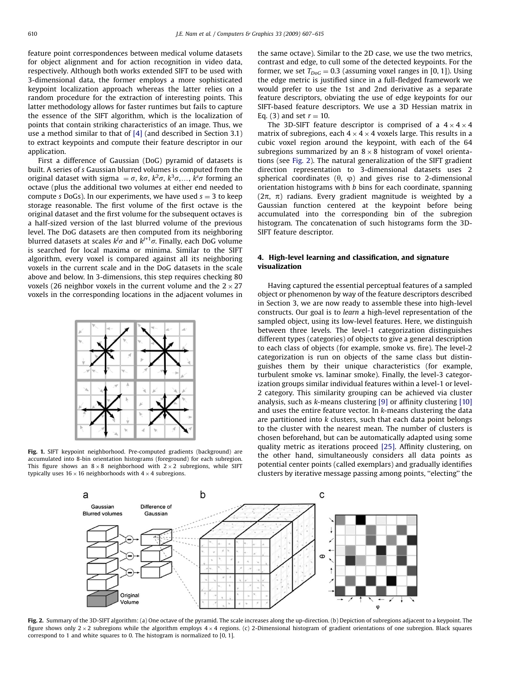<span id="page-3-0"></span>feature point correspondences between medical volume datasets for object alignment and for action recognition in video data, respectively. Although both works extended SIFT to be used with 3-dimensional data, the former employs a more sophisticated keypoint localization approach whereas the latter relies on a random procedure for the extraction of interesting points. This latter methodology allows for faster runtimes but fails to capture the essence of the SIFT algorithm, which is the localization of points that contain striking characteristics of an image. Thus, we use a method similar to that of [\[4\]](#page-7-0) (and described in Section 3.1) to extract keypoints and compute their feature descriptor in our application.

First a difference of Gaussian (DoG) pyramid of datasets is built. A series of s Gaussian blurred volumes is computed from the original dataset with sigma  $= \sigma$ , k $\sigma$ , k $^2\sigma$ , k $^3\sigma$ ,..., k $^s\sigma$  forming an octave (plus the additional two volumes at either end needed to compute s DoGs). In our experiments, we have used  $s = 3$  to keep storage reasonable. The first volume of the first octave is the original dataset and the first volume for the subsequent octaves is a half-sized version of the last blurred volume of the previous level. The DoG datasets are then computed from its neighboring blurred datasets at scales  $k^j\sigma$  and  $k^{j+1}\sigma$ . Finally, each DoG volume is searched for local maxima or minima. Similar to the SIFT algorithm, every voxel is compared against all its neighboring voxels in the current scale and in the DoG datasets in the scale above and below. In 3-dimensions, this step requires checking 80 voxels (26 neighbor voxels in the current volume and the  $2 \times 27$ voxels in the corresponding locations in the adjacent volumes in



Fig. 1. SIFT keypoint neighborhood. Pre-computed gradients (background) are accumulated into 8-bin orientation histograms (foreground) for each subregion. This figure shows an  $8 \times 8$  neighborhood with  $2 \times 2$  subregions, while SIFT typically uses  $16 \times 16$  neighborhoods with  $4 \times 4$  subregions.

the same octave). Similar to the 2D case, we use the two metrics, contrast and edge, to cull some of the detected keypoints. For the former, we set  $T_{DoG} = 0.3$  (assuming voxel ranges in [0, 1]). Using the edge metric is justified since in a full-fledged framework we would prefer to use the 1st and 2nd derivative as a separate feature descriptors, obviating the use of edge keypoints for our SIFT-based feature descriptors. We use a 3D Hessian matrix in Eq. (3) and set  $r = 10$ .

The 3D-SIFT feature descriptor is comprised of a  $4 \times 4 \times 4$ matrix of subregions, each  $4 \times 4 \times 4$  voxels large. This results in a cubic voxel region around the keypoint, with each of the 64 subregions summarized by an  $8 \times 8$  histogram of voxel orientations (see Fig. 2). The natural generalization of the SIFT gradient direction representation to 3-dimensional datasets uses 2 spherical coordinates  $(\theta, \varphi)$  and gives rise to 2-dimensional orientation histograms with  $b$  bins for each coordinate, spanning  $(2\pi, \pi)$  radians. Every gradient magnitude is weighted by a Gaussian function centered at the keypoint before being accumulated into the corresponding bin of the subregion histogram. The concatenation of such histograms form the 3D-SIFT feature descriptor.

## 4. High-level learning and classification, and signature visualization

Having captured the essential perceptual features of a sampled object or phenomenon by way of the feature descriptors described in Section 3, we are now ready to assemble these into high-level constructs. Our goal is to learn a high-level representation of the sampled object, using its low-level features. Here, we distinguish between three levels. The level-1 categorization distinguishes different types (categories) of objects to give a general description to each class of objects (for example, smoke vs. fire). The level-2 categorization is run on objects of the same class but distinguishes them by their unique characteristics (for example, turbulent smoke vs. laminar smoke). Finally, the level-3 categorization groups similar individual features within a level-1 or level-2 category. This similarity grouping can be achieved via cluster analysis, such as k-means clustering [\[9\]](#page-8-0) or affinity clustering [\[10\]](#page-8-0) and uses the entire feature vector. In k-means clustering the data are partitioned into  $k$  clusters, such that each data point belongs to the cluster with the nearest mean. The number of clusters is chosen beforehand, but can be automatically adapted using some quality metric as iterations proceed [\[25\].](#page-8-0) Affinity clustering, on the other hand, simultaneously considers all data points as potential center points (called exemplars) and gradually identifies clusters by iterative message passing among points, ''electing'' the



Fig. 2. Summary of the 3D-SIFT algorithm: (a) One octave of the pyramid. The scale increases along the up-direction. (b) Depiction of subregions adjacent to a keypoint. The figure shows only  $2 \times 2$  subregions while the algorithm employs  $4 \times 4$  regions. (c) 2-Dimensional histogram of gradient orientations of one subregion. Black squares correspond to 1 and white squares to 0. The histogram is normalized to [0, 1].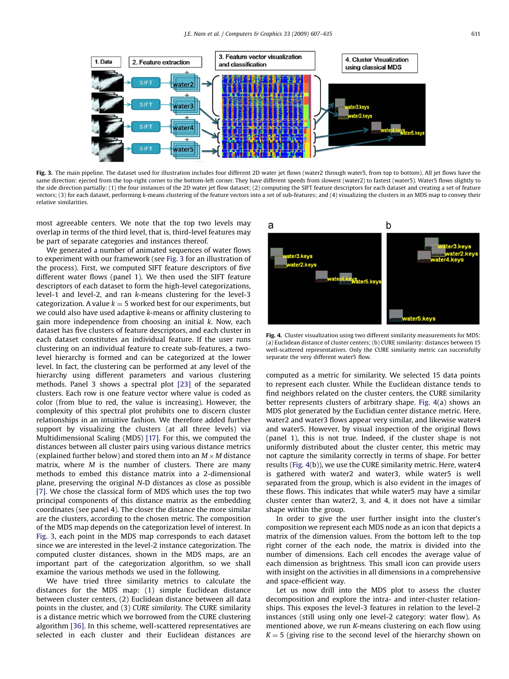<span id="page-4-0"></span>

Fig. 3. The main pipeline. The dataset used for illustration includes four different 2D water jet flows (water2 through water5, from top to bottom). All jet flows have the same direction: ejected from the top-right corner to the bottom-left corner. They have different speeds from slowest (water2) to fastest (water5). Water5 flows slightly to the side direction partially: (1) the four instances of the 2D water jet flow dataset; (2) computing the SIFT feature descriptors for each dataset and creating a set of feature vectors; (3) for each dataset, performing k-means clustering of the feature vectors into a set of sub-features; and (4) visualizing the clusters in an MDS map to convey their relative similarities.

most agreeable centers. We note that the top two levels may overlap in terms of the third level, that is, third-level features may be part of separate categories and instances thereof.

We generated a number of animated sequences of water flows to experiment with our framework (see Fig. 3 for an illustration of the process). First, we computed SIFT feature descriptors of five different water flows (panel 1). We then used the SIFT feature descriptors of each dataset to form the high-level categorizations, level-1 and level-2, and ran k-means clustering for the level-3 categorization. A value  $k = 5$  worked best for our experiments, but we could also have used adaptive k-means or affinity clustering to gain more independence from choosing an initial k. Now, each dataset has five clusters of feature descriptors, and each cluster in each dataset constitutes an individual feature. If the user runs clustering on an individual feature to create sub-features, a twolevel hierarchy is formed and can be categorized at the lower level. In fact, the clustering can be performed at any level of the hierarchy using different parameters and various clustering methods. Panel 3 shows a spectral plot [\[23\]](#page-8-0) of the separated clusters. Each row is one feature vector where value is coded as color (from blue to red, the value is increasing). However, the complexity of this spectral plot prohibits one to discern cluster relationships in an intuitive fashion. We therefore added further support by visualizing the clusters (at all three levels) via Multidimensional Scaling (MDS) [\[17\].](#page-8-0) For this, we computed the distances between all cluster pairs using various distance metrics (explained further below) and stored them into an  $M \times M$  distance matrix, where M is the number of clusters. There are many methods to embed this distance matrix into a 2-dimensional plane, preserving the original N-D distances as close as possible [\[7\]](#page-8-0). We chose the classical form of MDS which uses the top two principal components of this distance matrix as the embedding coordinates (see panel 4). The closer the distance the more similar are the clusters, according to the chosen metric. The composition of the MDS map depends on the categorization level of interest. In Fig. 3, each point in the MDS map corresponds to each dataset since we are interested in the level-2 instance categorization. The computed cluster distances, shown in the MDS maps, are an important part of the categorization algorithm, so we shall examine the various methods we used in the following.

We have tried three similarity metrics to calculate the distances for the MDS map: (1) simple Euclidean distance between cluster centers, (2) Euclidean distance between all data points in the cluster, and (3) CURE similarity. The CURE similarity is a distance metric which we borrowed from the CURE clustering algorithm [\[36\]](#page-8-0). In this scheme, well-scattered representatives are selected in each cluster and their Euclidean distances are



Fig. 4. Cluster visualization using two different similarity measurements for MDS: (a) Euclidean distance of cluster centers; (b) CURE similarity: distances between 15 well-scattered representatives. Only the CURE similarity metric can successfully separate the very different water5 flow.

computed as a metric for similarity. We selected 15 data points to represent each cluster. While the Euclidean distance tends to find neighbors related on the cluster centers, the CURE similarity better represents clusters of arbitrary shape. Fig. 4(a) shows an MDS plot generated by the Euclidian center distance metric. Here, water2 and water3 flows appear very similar, and likewise water4 and water5. However, by visual inspection of the original flows (panel 1), this is not true. Indeed, if the cluster shape is not uniformly distributed about the cluster center, this metric may not capture the similarity correctly in terms of shape. For better results (Fig. 4(b)), we use the CURE similarity metric. Here, water4 is gathered with water2 and water3, while water5 is well separated from the group, which is also evident in the images of these flows. This indicates that while water5 may have a similar cluster center than water2, 3, and 4, it does not have a similar shape within the group.

In order to give the user further insight into the cluster's composition we represent each MDS node as an icon that depicts a matrix of the dimension values. From the bottom left to the top right corner of the each node, the matrix is divided into the number of dimensions. Each cell encodes the average value of each dimension as brightness. This small icon can provide users with insight on the activities in all dimensions in a comprehensive and space-efficient way.

Let us now drill into the MDS plot to assess the cluster decomposition and explore the intra- and inter-cluster relationships. This exposes the level-3 features in relation to the level-2 instances (still using only one level-2 category: water flow). As mentioned above, we run K-means clustering on each flow using  $K = 5$  (giving rise to the second level of the hierarchy shown on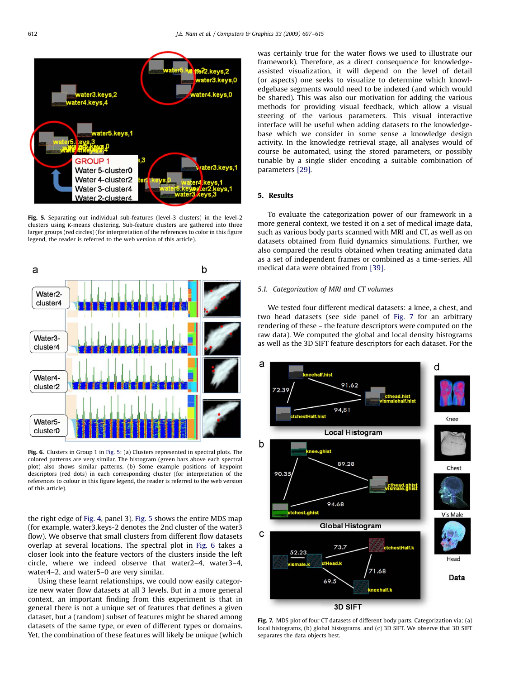<span id="page-5-0"></span>

Fig. 5. Separating out individual sub-features (level-3 clusters) in the level-2 clusters using K-means clustering. Sub-feature clusters are gathered into three larger groups (red circles) (for interpretation of the references to color in this figure legend, the reader is referred to the web version of this article).



Fig. 6. Clusters in Group 1 in Fig. 5: (a) Clusters represented in spectral plots. The colored patterns are very similar. The histogram (green bars above each spectral plot) also shows similar patterns. (b) Some example positions of keypoint descriptors (red dots) in each corresponding cluster (for interpretation of the references to colour in this figure legend, the reader is referred to the web version of this article).

the right edge of [Fig. 4](#page-4-0), panel 3). Fig. 5 shows the entire MDS map (for example, water3.keys-2 denotes the 2nd cluster of the water3 flow). We observe that small clusters from different flow datasets overlap at several locations. The spectral plot in Fig. 6 takes a closer look into the feature vectors of the clusters inside the left circle, where we indeed observe that water2–4, water3–4, water4–2, and water5–0 are very similar.

Using these learnt relationships, we could now easily categorize new water flow datasets at all 3 levels. But in a more general context, an important finding from this experiment is that in general there is not a unique set of features that defines a given dataset, but a (random) subset of features might be shared among datasets of the same type, or even of different types or domains. Yet, the combination of these features will likely be unique (which was certainly true for the water flows we used to illustrate our framework). Therefore, as a direct consequence for knowledgeassisted visualization, it will depend on the level of detail (or aspects) one seeks to visualize to determine which knowledgebase segments would need to be indexed (and which would be shared). This was also our motivation for adding the various methods for providing visual feedback, which allow a visual steering of the various parameters. This visual interactive interface will be useful when adding datasets to the knowledgebase which we consider in some sense a knowledge design activity. In the knowledge retrieval stage, all analyses would of course be automated, using the stored parameters, or possibly tunable by a single slider encoding a suitable combination of parameters [\[29\]](#page-8-0).

#### 5. Results

To evaluate the categorization power of our framework in a more general context, we tested it on a set of medical image data, such as various body parts scanned with MRI and CT, as well as on datasets obtained from fluid dynamics simulations. Further, we also compared the results obtained when treating animated data as a set of independent frames or combined as a time-series. All medical data were obtained from [\[39\].](#page-8-0)

### 5.1. Categorization of MRI and CT volumes

We tested four different medical datasets: a knee, a chest, and two head datasets (see side panel of Fig. 7 for an arbitrary rendering of these – the feature descriptors were computed on the raw data). We computed the global and local density histograms as well as the 3D SIFT feature descriptors for each dataset. For the



Fig. 7. MDS plot of four CT datasets of different body parts. Categorization via: (a) local histograms, (b) global histograms, and (c) 3D SIFT. We observe that 3D SIFT separates the data objects best.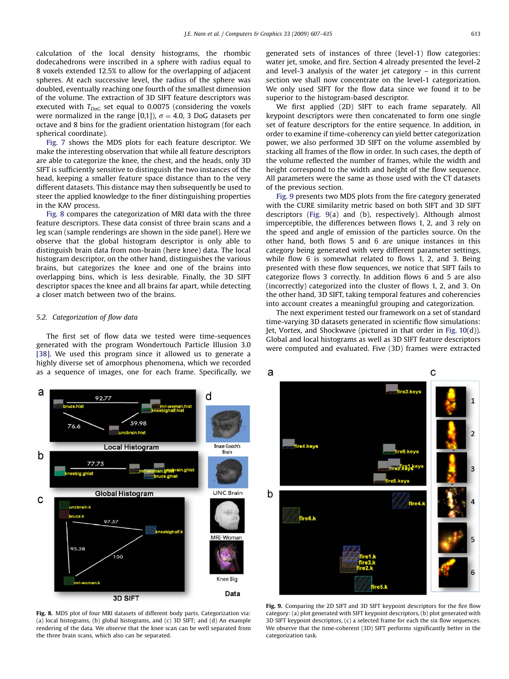calculation of the local density histograms, the rhombic dodecahedrons were inscribed in a sphere with radius equal to 8 voxels extended 12.5% to allow for the overlapping of adjacent spheres. At each successive level, the radius of the sphere was doubled, eventually reaching one fourth of the smallest dimension of the volume. The extraction of 3D SIFT feature descriptors was executed with  $T_{DoG}$  set equal to 0.0075 (considering the voxels were normalized in the range [0,1]),  $\sigma = 4.0$ , 3 DoG datasets per octave and 8 bins for the gradient orientation histogram (for each spherical coordinate).

[Fig. 7](#page-5-0) shows the MDS plots for each feature descriptor. We make the interesting observation that while all feature descriptors are able to categorize the knee, the chest, and the heads, only 3D SIFT is sufficiently sensitive to distinguish the two instances of the head, keeping a smaller feature space distance than to the very different datasets. This distance may then subsequently be used to steer the applied knowledge to the finer distinguishing properties in the KAV process.

Fig. 8 compares the categorization of MRI data with the three feature descriptors. These data consist of three brain scans and a leg scan (sample renderings are shown in the side panel). Here we observe that the global histogram descriptor is only able to distinguish brain data from non-brain (here knee) data. The local histogram descriptor, on the other hand, distinguishes the various brains, but categorizes the knee and one of the brains into overlapping bins, which is less desirable. Finally, the 3D SIFT descriptor spaces the knee and all brains far apart, while detecting a closer match between two of the brains.

## 5.2. Categorization of flow data

The first set of flow data we tested were time-sequences generated with the program Wondertouch Particle Illusion 3.0 [\[38\]](#page-8-0). We used this program since it allowed us to generate a highly diverse set of amorphous phenomena, which we recorded as a sequence of images, one for each frame. Specifically, we



Fig. 8. MDS plot of four MRI datasets of different body parts. Categorization via: (a) local histograms, (b) global histograms, and (c) 3D SIFT; and (d) An example rendering of the data. We observe that the knee scan can be well separated from the three brain scans, which also can be separated.

generated sets of instances of three (level-1) flow categories: water jet, smoke, and fire. Section 4 already presented the level-2 and level-3 analysis of the water jet category – in this current section we shall now concentrate on the level-1 categorization. We only used SIFT for the flow data since we found it to be superior to the histogram-based descriptor.

We first applied (2D) SIFT to each frame separately. All keypoint descriptors were then concatenated to form one single set of feature descriptors for the entire sequence. In addition, in order to examine if time-coherency can yield better categorization power, we also performed 3D SIFT on the volume assembled by stacking all frames of the flow in order. In such cases, the depth of the volume reflected the number of frames, while the width and height correspond to the width and height of the flow sequence. All parameters were the same as those used with the CT datasets of the previous section.

Fig. 9 presents two MDS plots from the fire category generated with the CURE similarity metric based on both SIFT and 3D SIFT descriptors (Fig. 9(a) and (b), respectively). Although almost imperceptible, the differences between flows 1, 2, and 3 rely on the speed and angle of emission of the particles source. On the other hand, both flows 5 and 6 are unique instances in this category being generated with very different parameter settings, while flow 6 is somewhat related to flows 1, 2, and 3. Being presented with these flow sequences, we notice that SIFT fails to categorize flows 3 correctly. In addition flows 6 and 5 are also (incorrectly) categorized into the cluster of flows 1, 2, and 3. On the other hand, 3D SIFT, taking temporal features and coherencies into account creates a meaningful grouping and categorization.

The next experiment tested our framework on a set of standard time-varying 3D datasets generated in scientific flow simulations: Jet, Vortex, and Shockwave (pictured in that order in [Fig. 10\(](#page-7-0)d)). Global and local histograms as well as 3D SIFT feature descriptors were computed and evaluated. Five (3D) frames were extracted



Fig. 9. Comparing the 2D SIFT and 3D SIFT keypoint descriptors for the fire flow category: (a) plot generated with SIFT keypoint descriptors, (b) plot generated with 3D SIFT keypoint descriptors, (c) a selected frame for each the six flow sequences. We observe that the time-coherent (3D) SIFT performs significantly better in the categorization task.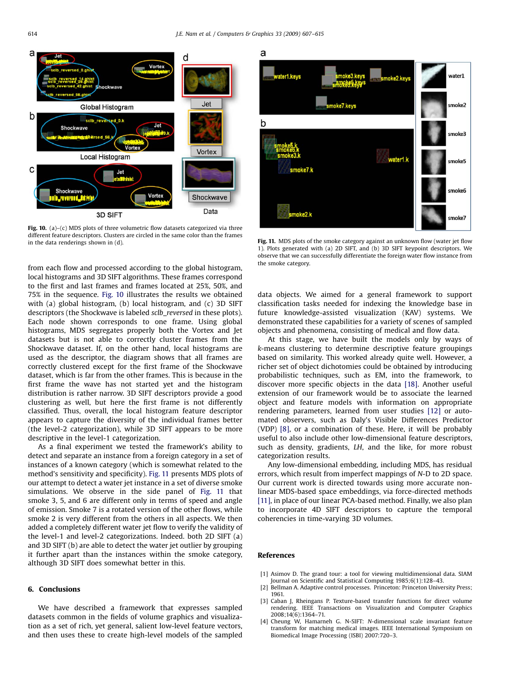<span id="page-7-0"></span>



from each flow and processed according to the global histogram, local histograms and 3D SIFT algorithms. These frames correspond to the first and last frames and frames located at 25%, 50%, and 75% in the sequence. Fig. 10 illustrates the results we obtained with (a) global histogram, (b) local histogram, and (c) 3D SIFT descriptors (the Shockwave is labeled sclb\_reversed in these plots). Each node shown corresponds to one frame. Using global histograms, MDS segregates properly both the Vortex and Jet datasets but is not able to correctly cluster frames from the Shockwave dataset. If, on the other hand, local histograms are used as the descriptor, the diagram shows that all frames are correctly clustered except for the first frame of the Shockwave dataset, which is far from the other frames. This is because in the first frame the wave has not started yet and the histogram distribution is rather narrow. 3D SIFT descriptors provide a good clustering as well, but here the first frame is not differently classified. Thus, overall, the local histogram feature descriptor appears to capture the diversity of the individual frames better (the level-2 categorization), while 3D SIFT appears to be more descriptive in the level-1 categorization.

As a final experiment we tested the framework's ability to detect and separate an instance from a foreign category in a set of instances of a known category (which is somewhat related to the method's sensitivity and specificity). Fig. 11 presents MDS plots of our attempt to detect a water jet instance in a set of diverse smoke simulations. We observe in the side panel of Fig. 11 that smoke 3, 5, and 6 are different only in terms of speed and angle of emission. Smoke 7 is a rotated version of the other flows, while smoke 2 is very different from the others in all aspects. We then added a completely different water jet flow to verify the validity of the level-1 and level-2 categorizations. Indeed. both 2D SIFT (a) and 3D SIFT (b) are able to detect the water jet outlier by grouping it further apart than the instances within the smoke category, although 3D SIFT does somewhat better in this.

### 6. Conclusions

We have described a framework that expresses sampled datasets common in the fields of volume graphics and visualization as a set of rich, yet general, salient low-level feature vectors, and then uses these to create high-level models of the sampled



1). Plots generated with (a) 2D SIFT, and (b) 3D SIFT keypoint descriptors. We observe that we can successfully differentiate the foreign water flow instance from the smoke category.

data objects. We aimed for a general framework to support classification tasks needed for indexing the knowledge base in future knowledge-assisted visualization (KAV) systems. We demonstrated these capabilities for a variety of scenes of sampled objects and phenomena, consisting of medical and flow data.

At this stage, we have built the models only by ways of k-means clustering to determine descriptive feature groupings based on similarity. This worked already quite well. However, a richer set of object dichotomies could be obtained by introducing probabilistic techniques, such as EM, into the framework, to discover more specific objects in the data [\[18\].](#page-8-0) Another useful extension of our framework would be to associate the learned object and feature models with information on appropriate rendering parameters, learned from user studies [\[12\]](#page-8-0) or automated observers, such as Daly's Visible Differences Predictor (VDP) [\[8\],](#page-8-0) or a combination of these. Here, it will be probably useful to also include other low-dimensional feature descriptors, such as density, gradients, LH, and the like, for more robust categorization results.

Any low-dimensional embedding, including MDS, has residual errors, which result from imperfect mappings of N-D to 2D space. Our current work is directed towards using more accurate nonlinear MDS-based space embeddings, via force-directed methods [\[11\],](#page-8-0) in place of our linear PCA-based method. Finally, we also plan to incorporate 4D SIFT descriptors to capture the temporal coherencies in time-varying 3D volumes.

#### References

- [1] Asimov D. The grand tour: a tool for viewing multidimensional data. SIAM Journal on Scientific and Statistical Computing 1985;6(1):128–43.
- [2] Bellman A. Adaptive control processes. Princeton: Princeton University Press; 1961.
- [3] Caban J, Rheingans P. Texture-based transfer functions for direct volume rendering. IEEE Transactions on Visualization and Computer Graphics 2008;14(6):1364–71.
- Cheung W, Hamarneh G. N-SIFT: N-dimensional scale invariant feature transform for matching medical images. IEEE International Symposium on Biomedical Image Processing (ISBI) 2007:720–3.